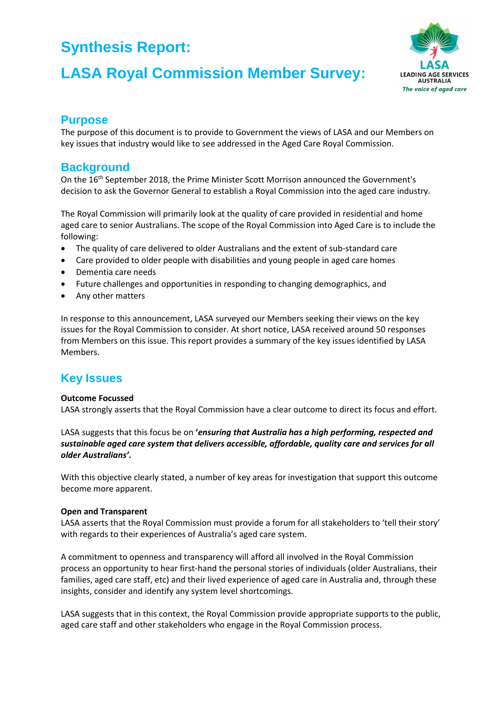# **LASA Royal Commission Member Survey:**



### **Purpose**

The purpose of this document is to provide to Government the views of LASA and our Members on key issues that industry would like to see addressed in the Aged Care Royal Commission.

## **Background**

On the 16<sup>th</sup> September 2018, the Prime Minister Scott Morrison announced the Government's decision to ask the Governor General to establish a Royal Commission into the aged care industry.

The Royal Commission will primarily look at the quality of care provided in residential and home aged care to senior Australians. The scope of the Royal Commission into Aged Care is to include the following:

- The quality of care delivered to older Australians and the extent of sub-standard care
- Care provided to older people with disabilities and young people in aged care homes
- Dementia care needs
- Future challenges and opportunities in responding to changing demographics, and
- Any other matters

In response to this announcement, LASA surveyed our Members seeking their views on the key issues for the Royal Commission to consider. At short notice, LASA received around 50 responses from Members on this issue. This report provides a summary of the key issues identified by LASA Members.

## **Key Issues**

### **Outcome Focussed**

LASA strongly asserts that the Royal Commission have a clear outcome to direct its focus and effort.

LASA suggests that this focus be on **'***ensuring that Australia has a high performing, respected and sustainable aged care system that delivers accessible, affordable, quality care and services for all older Australians'***.** 

With this objective clearly stated, a number of key areas for investigation that support this outcome become more apparent.

### **Open and Transparent**

LASA asserts that the Royal Commission must provide a forum for all stakeholders to 'tell their story' with regards to their experiences of Australia's aged care system.

A commitment to openness and transparency will afford all involved in the Royal Commission process an opportunity to hear first-hand the personal stories of individuals (older Australians, their families, aged care staff, etc) and their lived experience of aged care in Australia and, through these insights, consider and identify any system level shortcomings.

LASA suggests that in this context, the Royal Commission provide appropriate supports to the public, aged care staff and other stakeholders who engage in the Royal Commission process.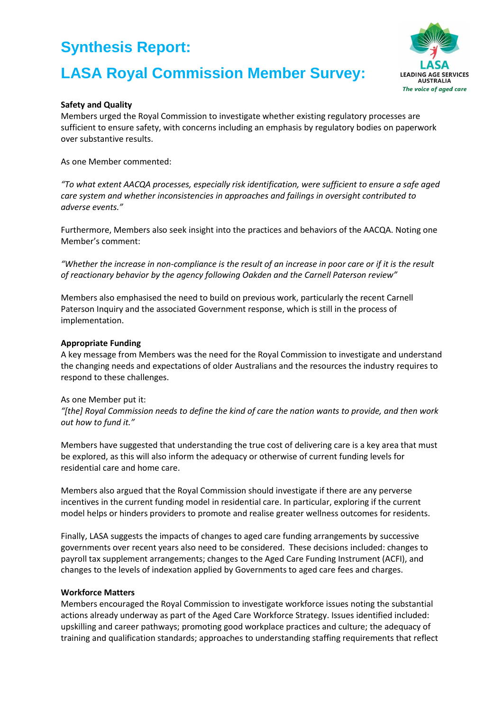# **LASA Royal Commission Member Survey:**



### **Safety and Quality**

Members urged the Royal Commission to investigate whether existing regulatory processes are sufficient to ensure safety, with concerns including an emphasis by regulatory bodies on paperwork over substantive results.

As one Member commented:

*"To what extent AACQA processes, especially risk identification, were sufficient to ensure a safe aged care system and whether inconsistencies in approaches and failings in oversight contributed to adverse events."*

Furthermore, Members also seek insight into the practices and behaviors of the AACQA. Noting one Member's comment:

*"Whether the increase in non-compliance is the result of an increase in poor care or if it is the result of reactionary behavior by the agency following Oakden and the Carnell Paterson review"*

Members also emphasised the need to build on previous work, particularly the recent Carnell Paterson Inquiry and the associated Government response, which is still in the process of implementation.

#### **Appropriate Funding**

A key message from Members was the need for the Royal Commission to investigate and understand the changing needs and expectations of older Australians and the resources the industry requires to respond to these challenges.

#### As one Member put it:

*"[the] Royal Commission needs to define the kind of care the nation wants to provide, and then work out how to fund it."*

Members have suggested that understanding the true cost of delivering care is a key area that must be explored, as this will also inform the adequacy or otherwise of current funding levels for residential care and home care.

Members also argued that the Royal Commission should investigate if there are any perverse incentives in the current funding model in residential care. In particular, exploring if the current model helps or hinders providers to promote and realise greater wellness outcomes for residents.

Finally, LASA suggests the impacts of changes to aged care funding arrangements by successive governments over recent years also need to be considered. These decisions included: changes to payroll tax supplement arrangements; changes to the Aged Care Funding Instrument (ACFI), and changes to the levels of indexation applied by Governments to aged care fees and charges.

#### **Workforce Matters**

Members encouraged the Royal Commission to investigate workforce issues noting the substantial actions already underway as part of the Aged Care Workforce Strategy. Issues identified included: upskilling and career pathways; promoting good workplace practices and culture; the adequacy of training and qualification standards; approaches to understanding staffing requirements that reflect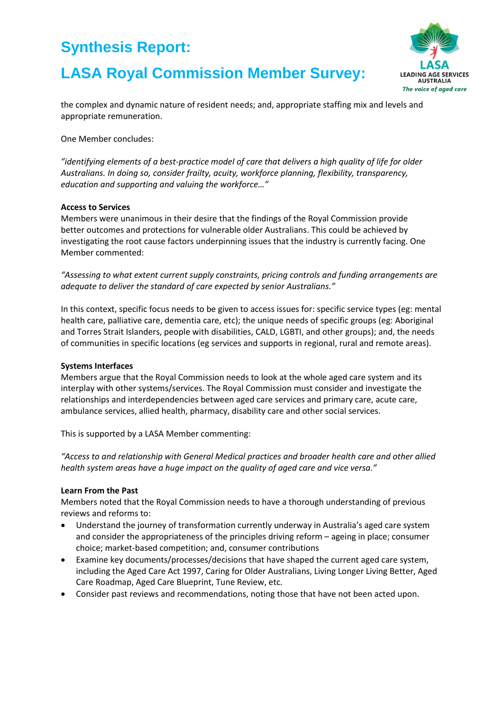# **LASA Royal Commission Member Survey:**



the complex and dynamic nature of resident needs; and, appropriate staffing mix and levels and appropriate remuneration.

One Member concludes:

*"identifying elements of a best-practice model of care that delivers a high quality of life for older Australians. In doing so, consider frailty, acuity, workforce planning, flexibility, transparency, education and supporting and valuing the workforce…"*

### **Access to Services**

Members were unanimous in their desire that the findings of the Royal Commission provide better outcomes and protections for vulnerable older Australians. This could be achieved by investigating the root cause factors underpinning issues that the industry is currently facing. One Member commented:

*"Assessing to what extent current supply constraints, pricing controls and funding arrangements are adequate to deliver the standard of care expected by senior Australians."*

In this context, specific focus needs to be given to access issues for: specific service types (eg: mental health care, palliative care, dementia care, etc); the unique needs of specific groups (eg: Aboriginal and Torres Strait Islanders, people with disabilities, CALD, LGBTI, and other groups); and, the needs of communities in specific locations (eg services and supports in regional, rural and remote areas).

### **Systems Interfaces**

Members argue that the Royal Commission needs to look at the whole aged care system and its interplay with other systems/services. The Royal Commission must consider and investigate the relationships and interdependencies between aged care services and primary care, acute care, ambulance services, allied health, pharmacy, disability care and other social services.

This is supported by a LASA Member commenting:

*"Access to and relationship with General Medical practices and broader health care and other allied health system areas have a huge impact on the quality of aged care and vice versa."*

### **Learn From the Past**

Members noted that the Royal Commission needs to have a thorough understanding of previous reviews and reforms to:

- Understand the journey of transformation currently underway in Australia's aged care system and consider the appropriateness of the principles driving reform – ageing in place; consumer choice; market-based competition; and, consumer contributions
- Examine key documents/processes/decisions that have shaped the current aged care system, including the Aged Care Act 1997, Caring for Older Australians, Living Longer Living Better, Aged Care Roadmap, Aged Care Blueprint, Tune Review, etc.
- Consider past reviews and recommendations, noting those that have not been acted upon.